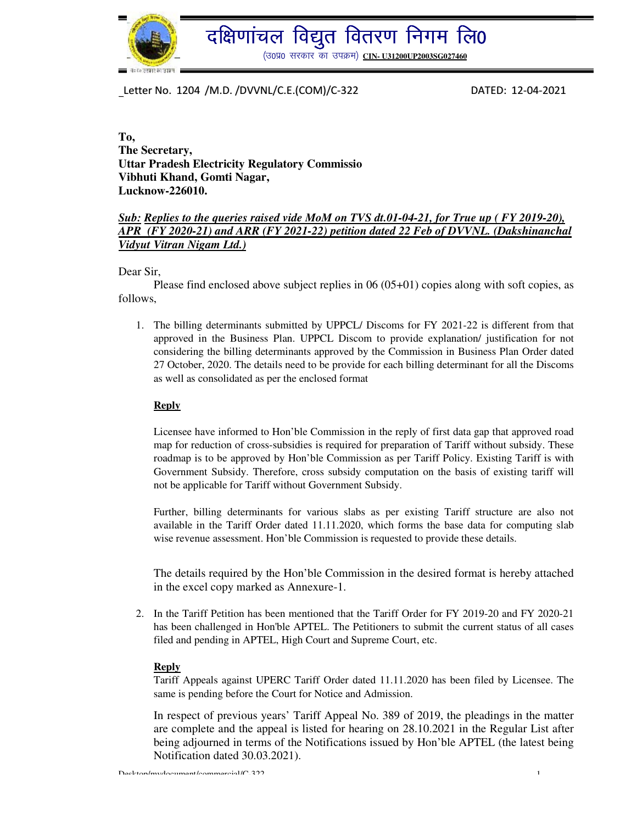

दक्षिणांचल विद्युत वितरण निगम लि0

(उ०प्र0 सरकार का उपक्रम) CIN- U31200UP2003SG027460

 Letter No. <sup>1204</sup> /M.D. /DVVNL/C.E.(COM)/C-322 DATED: 12-04-2021 Ī

**To, The Secretary, Uttar Pradesh Electricity Regulatory Commissio Vibhuti Khand, Gomti Nagar, Lucknow-226010.** 

#### *Sub: Replies to the queries raised vide MoM on TVS dt.01-04-21, for True up ( FY 2019-20), APR (FY 2020-21) and ARR (FY 2021-22) petition dated 22 Feb of DVVNL. (Dakshinanchal Vidyut Vitran Nigam Ltd.)*

Dear Sir,

 Please find enclosed above subject replies in 06 (05+01) copies along with soft copies, as follows,

1. The billing determinants submitted by UPPCL/ Discoms for FY 2021-22 is different from that approved in the Business Plan. UPPCL Discom to provide explanation/ justification for not considering the billing determinants approved by the Commission in Business Plan Order dated 27 October, 2020. The details need to be provide for each billing determinant for all the Discoms as well as consolidated as per the enclosed format

#### **Reply**

Licensee have informed to Hon'ble Commission in the reply of first data gap that approved road map for reduction of cross-subsidies is required for preparation of Tariff without subsidy. These roadmap is to be approved by Hon'ble Commission as per Tariff Policy. Existing Tariff is with Government Subsidy. Therefore, cross subsidy computation on the basis of existing tariff will not be applicable for Tariff without Government Subsidy.

Further, billing determinants for various slabs as per existing Tariff structure are also not available in the Tariff Order dated 11.11.2020, which forms the base data for computing slab wise revenue assessment. Hon'ble Commission is requested to provide these details.

The details required by the Hon'ble Commission in the desired format is hereby attached in the excel copy marked as Annexure-1.

2. In the Tariff Petition has been mentioned that the Tariff Order for FY 2019-20 and FY 2020-21 has been challenged in Hon'ble APTEL. The Petitioners to submit the current status of all cases filed and pending in APTEL, High Court and Supreme Court, etc.

#### **Reply**

Tariff Appeals against UPERC Tariff Order dated 11.11.2020 has been filed by Licensee. The same is pending before the Court for Notice and Admission.

In respect of previous years' Tariff Appeal No. 389 of 2019, the pleadings in the matter are complete and the appeal is listed for hearing on 28.10.2021 in the Regular List after being adjourned in terms of the Notifications issued by Hon'ble APTEL (the latest being Notification dated 30.03.2021).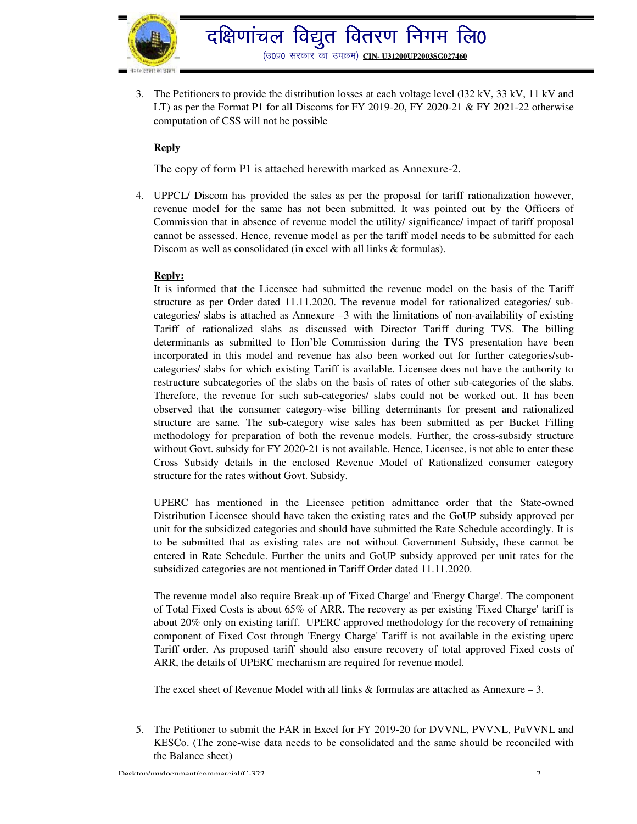

3. The Petitioners to provide the distribution losses at each voltage level (l32 kV, 33 kV, 11 kV and LT) as per the Format P1 for all Discoms for FY 2019-20, FY 2020-21 & FY 2021-22 otherwise computation of CSS will not be possible

### **Reply**

The copy of form P1 is attached herewith marked as Annexure-2.

4. UPPCL/ Discom has provided the sales as per the proposal for tariff rationalization however, revenue model for the same has not been submitted. It was pointed out by the Officers of Commission that in absence of revenue model the utility/ significance/ impact of tariff proposal cannot be assessed. Hence, revenue model as per the tariff model needs to be submitted for each Discom as well as consolidated (in excel with all links & formulas).

#### **Reply:**

It is informed that the Licensee had submitted the revenue model on the basis of the Tariff structure as per Order dated 11.11.2020. The revenue model for rationalized categories/ subcategories/ slabs is attached as Annexure  $-3$  with the limitations of non-availability of existing Tariff of rationalized slabs as discussed with Director Tariff during TVS. The billing determinants as submitted to Hon'ble Commission during the TVS presentation have been incorporated in this model and revenue has also been worked out for further categories/subcategories/ slabs for which existing Tariff is available. Licensee does not have the authority to restructure subcategories of the slabs on the basis of rates of other sub-categories of the slabs. Therefore, the revenue for such sub-categories/ slabs could not be worked out. It has been observed that the consumer category-wise billing determinants for present and rationalized structure are same. The sub-category wise sales has been submitted as per Bucket Filling methodology for preparation of both the revenue models. Further, the cross-subsidy structure without Govt. subsidy for FY 2020-21 is not available. Hence, Licensee, is not able to enter these Cross Subsidy details in the enclosed Revenue Model of Rationalized consumer category structure for the rates without Govt. Subsidy.

UPERC has mentioned in the Licensee petition admittance order that the State-owned Distribution Licensee should have taken the existing rates and the GoUP subsidy approved per unit for the subsidized categories and should have submitted the Rate Schedule accordingly. It is to be submitted that as existing rates are not without Government Subsidy, these cannot be entered in Rate Schedule. Further the units and GoUP subsidy approved per unit rates for the subsidized categories are not mentioned in Tariff Order dated 11.11.2020.

The revenue model also require Break-up of 'Fixed Charge' and 'Energy Charge'. The component of Total Fixed Costs is about 65% of ARR. The recovery as per existing 'Fixed Charge' tariff is about 20% only on existing tariff. UPERC approved methodology for the recovery of remaining component of Fixed Cost through 'Energy Charge' Tariff is not available in the existing uperc Tariff order. As proposed tariff should also ensure recovery of total approved Fixed costs of ARR, the details of UPERC mechanism are required for revenue model.

The excel sheet of Revenue Model with all links  $\&$  formulas are attached as Annexure – 3.

5. The Petitioner to submit the FAR in Excel for FY 2019-20 for DVVNL, PVVNL, PuVVNL and KESCo. (The zone-wise data needs to be consolidated and the same should be reconciled with the Balance sheet)

 $Deckton/my document/commercial/C-322$  2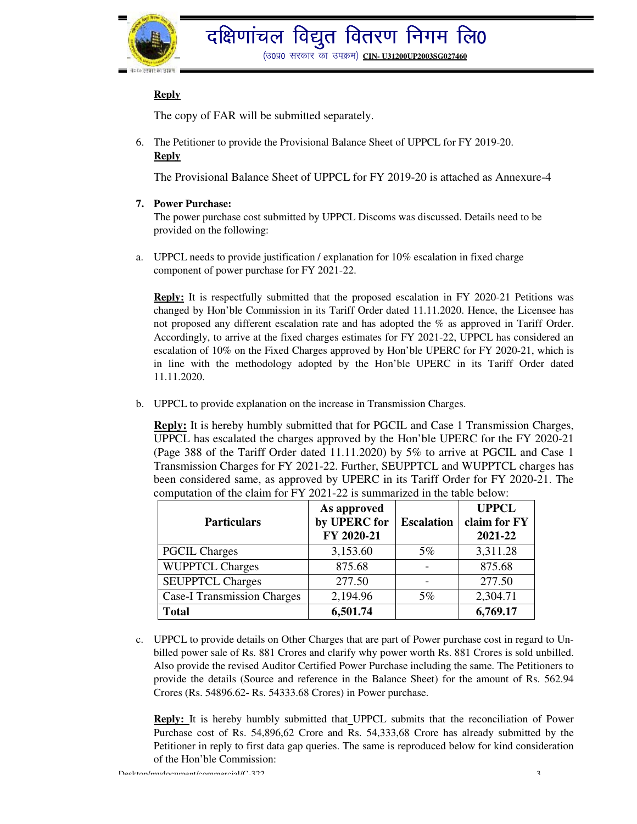

# **Reply**

The copy of FAR will be submitted separately.

6. The Petitioner to provide the Provisional Balance Sheet of UPPCL for FY 2019-20. **Reply**

The Provisional Balance Sheet of UPPCL for FY 2019-20 is attached as Annexure-4

**7. Power Purchase:** 

The power purchase cost submitted by UPPCL Discoms was discussed. Details need to be provided on the following:

a. UPPCL needs to provide justification / explanation for 10% escalation in fixed charge component of power purchase for FY 2021-22.

**Reply:** It is respectfully submitted that the proposed escalation in FY 2020-21 Petitions was changed by Hon'ble Commission in its Tariff Order dated 11.11.2020. Hence, the Licensee has not proposed any different escalation rate and has adopted the % as approved in Tariff Order. Accordingly, to arrive at the fixed charges estimates for FY 2021-22, UPPCL has considered an escalation of 10% on the Fixed Charges approved by Hon'ble UPERC for FY 2020-21, which is in line with the methodology adopted by the Hon'ble UPERC in its Tariff Order dated 11.11.2020.

b. UPPCL to provide explanation on the increase in Transmission Charges.

**Reply:** It is hereby humbly submitted that for PGCIL and Case 1 Transmission Charges, UPPCL has escalated the charges approved by the Hon'ble UPERC for the FY 2020-21 (Page 388 of the Tariff Order dated 11.11.2020) by 5% to arrive at PGCIL and Case 1 Transmission Charges for FY 2021-22. Further, SEUPPTCL and WUPPTCL charges has been considered same, as approved by UPERC in its Tariff Order for FY 2020-21. The computation of the claim for FY 2021-22 is summarized in the table below:

| <b>Particulars</b>                 | As approved<br>by UPERC for<br>FY 2020-21 | <b>Escalation</b> | <b>UPPCL</b><br>claim for FY<br>2021-22 |
|------------------------------------|-------------------------------------------|-------------------|-----------------------------------------|
| <b>PGCIL Charges</b>               | 3,153.60                                  | $5\%$             | 3,311.28                                |
| <b>WUPPTCL Charges</b>             | 875.68                                    |                   | 875.68                                  |
| <b>SEUPPTCL Charges</b>            | 277.50                                    |                   | 277.50                                  |
| <b>Case-I Transmission Charges</b> | 2,194.96                                  | $5\%$             | 2,304.71                                |
| <b>Total</b>                       | 6,501.74                                  |                   | 6,769.17                                |

c. UPPCL to provide details on Other Charges that are part of Power purchase cost in regard to Unbilled power sale of Rs. 881 Crores and clarify why power worth Rs. 881 Crores is sold unbilled. Also provide the revised Auditor Certified Power Purchase including the same. The Petitioners to provide the details (Source and reference in the Balance Sheet) for the amount of Rs. 562.94 Crores (Rs. 54896.62- Rs. 54333.68 Crores) in Power purchase.

**Reply:** It is hereby humbly submitted that UPPCL submits that the reconciliation of Power Purchase cost of Rs. 54,896,62 Crore and Rs. 54,333,68 Crore has already submitted by the Petitioner in reply to first data gap queries. The same is reproduced below for kind consideration of the Hon'ble Commission:

Desktop/mydocument/commercial/C-322 3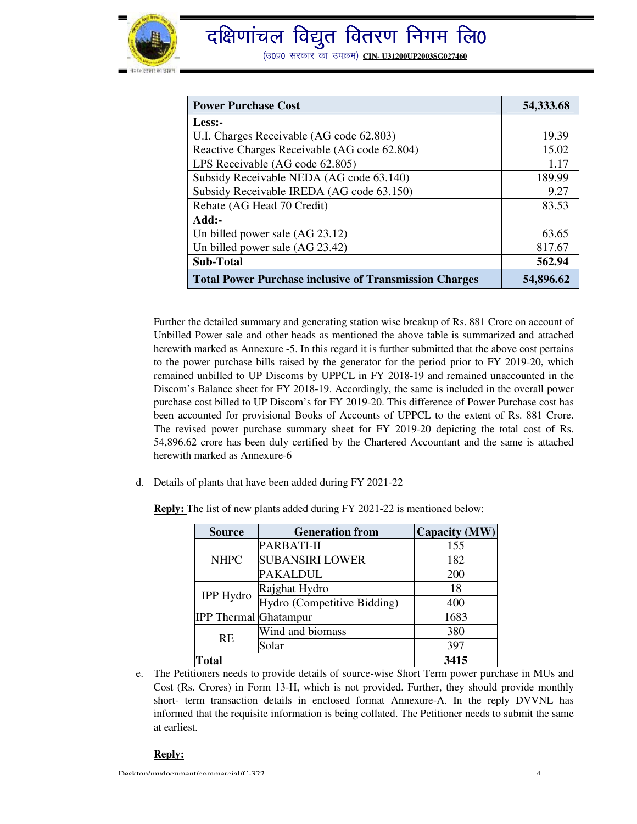

| <b>Power Purchase Cost</b>                                    | 54,333.68 |
|---------------------------------------------------------------|-----------|
| Less:-                                                        |           |
| U.I. Charges Receivable (AG code 62.803)                      | 19.39     |
| Reactive Charges Receivable (AG code 62.804)                  | 15.02     |
| LPS Receivable (AG code 62.805)                               | 1.17      |
| Subsidy Receivable NEDA (AG code 63.140)                      | 189.99    |
| Subsidy Receivable IREDA (AG code 63.150)                     | 9.27      |
| Rebate (AG Head 70 Credit)                                    | 83.53     |
| Add:-                                                         |           |
| Un billed power sale (AG 23.12)                               | 63.65     |
| Un billed power sale (AG 23.42)                               | 817.67    |
| <b>Sub-Total</b>                                              | 562.94    |
| <b>Total Power Purchase inclusive of Transmission Charges</b> | 54,896.62 |

Further the detailed summary and generating station wise breakup of Rs. 881 Crore on account of Unbilled Power sale and other heads as mentioned the above table is summarized and attached herewith marked as Annexure -5. In this regard it is further submitted that the above cost pertains to the power purchase bills raised by the generator for the period prior to FY 2019-20, which remained unbilled to UP Discoms by UPPCL in FY 2018-19 and remained unaccounted in the Discom's Balance sheet for FY 2018-19. Accordingly, the same is included in the overall power purchase cost billed to UP Discom's for FY 2019-20. This difference of Power Purchase cost has been accounted for provisional Books of Accounts of UPPCL to the extent of Rs. 881 Crore. The revised power purchase summary sheet for FY 2019-20 depicting the total cost of Rs. 54,896.62 crore has been duly certified by the Chartered Accountant and the same is attached herewith marked as Annexure-6

d. Details of plants that have been added during FY 2021-22

**Reply:** The list of new plants added during FY 2021-22 is mentioned below:

| <b>Source</b>                | <b>Generation from</b>      | Capacity (MW) |
|------------------------------|-----------------------------|---------------|
| <b>NHPC</b>                  | PARBATI-II                  | 155           |
|                              | <b>SUBANSIRI LOWER</b>      | 182           |
|                              | <b>PAKALDUL</b>             | 200           |
| <b>IPP Hydro</b>             | Rajghat Hydro               | 18            |
|                              | Hydro (Competitive Bidding) | 400           |
| <b>IPP Thermal Ghatampur</b> |                             | 1683          |
| RE                           | Wind and biomass            | 380           |
|                              | Solar                       | 397           |
| <b>Total</b>                 |                             | 3415          |

e. The Petitioners needs to provide details of source-wise Short Term power purchase in MUs and Cost (Rs. Crores) in Form 13-H, which is not provided. Further, they should provide monthly short- term transaction details in enclosed format Annexure-A. In the reply DVVNL has informed that the requisite information is being collated. The Petitioner needs to submit the same at earliest.

#### **Reply:**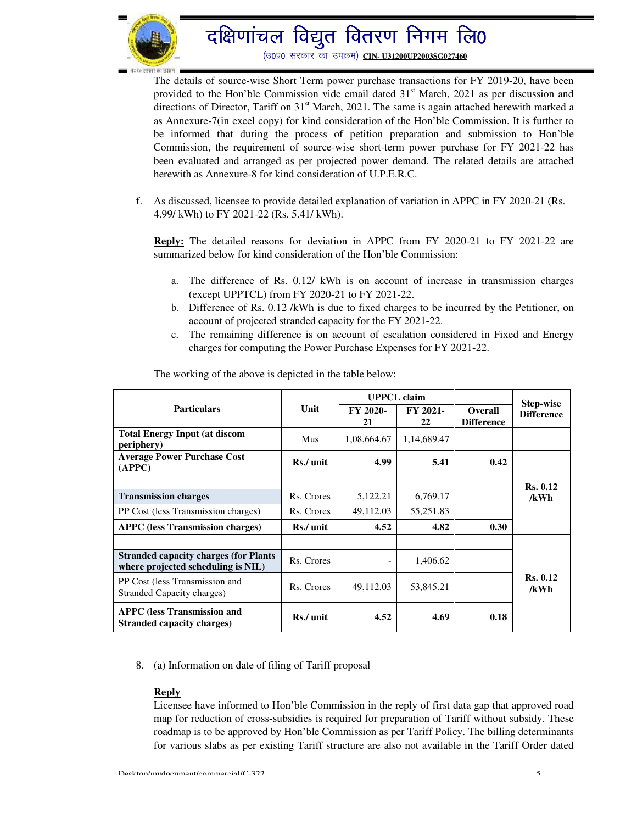

# दक्षिणांचल विद्युत वितरण निगम लि0

(उ०प्र0 सरकार का उपक्रम) CIN- U31200UP2003SG027460

The details of source-wise Short Term power purchase transactions for FY 2019-20, have been provided to the Hon'ble Commission vide email dated  $31<sup>st</sup>$  March, 2021 as per discussion and directions of Director, Tariff on  $31<sup>st</sup>$  March, 2021. The same is again attached herewith marked a as Annexure-7(in excel copy) for kind consideration of the Hon'ble Commission. It is further to be informed that during the process of petition preparation and submission to Hon'ble Commission, the requirement of source-wise short-term power purchase for FY 2021-22 has been evaluated and arranged as per projected power demand. The related details are attached herewith as Annexure-8 for kind consideration of U.P.E.R.C.

f. As discussed, licensee to provide detailed explanation of variation in APPC in FY 2020-21 (Rs. 4.99/ kWh) to FY 2021-22 (Rs. 5.41/ kWh).

**Reply:** The detailed reasons for deviation in APPC from FY 2020-21 to FY 2021-22 are summarized below for kind consideration of the Hon'ble Commission:

- a. The difference of Rs. 0.12/ kWh is on account of increase in transmission charges (except UPPTCL) from FY 2020-21 to FY 2021-22.
- b. Difference of Rs. 0.12 /kWh is due to fixed charges to be incurred by the Petitioner, on account of projected stranded capacity for the FY 2021-22.
- c. The remaining difference is on account of escalation considered in Fixed and Energy charges for computing the Power Purchase Expenses for FY 2021-22.

|                                                                                     |            | <b>UPPCL</b> claim       |                       |                                     | Step-wise               |
|-------------------------------------------------------------------------------------|------------|--------------------------|-----------------------|-------------------------------------|-------------------------|
| <b>Particulars</b>                                                                  | Unit       | FY 2020-<br>21           | <b>FY 2021-</b><br>22 | <b>Overall</b><br><b>Difference</b> | <b>Difference</b>       |
| <b>Total Energy Input (at discom</b><br>periphery)                                  | Mus        | 1,08,664.67              | 1,14,689.47           |                                     |                         |
| <b>Average Power Purchase Cost</b><br>(APPC)                                        | Rs./ unit  | 4.99                     | 5.41                  | 0.42                                |                         |
|                                                                                     |            |                          |                       |                                     | <b>Rs. 0.12</b>         |
| <b>Transmission charges</b>                                                         | Rs. Crores | 5,122.21                 | 6,769.17              |                                     | /kWh                    |
| PP Cost (less Transmission charges)                                                 | Rs. Crores | 49,112.03                | 55,251.83             |                                     |                         |
| <b>APPC</b> (less Transmission charges)                                             | Rs./ unit  | 4.52                     | 4.82                  | 0.30                                |                         |
|                                                                                     |            |                          |                       |                                     |                         |
| <b>Stranded capacity charges (for Plants)</b><br>where projected scheduling is NIL) | Rs. Crores | $\overline{\phantom{0}}$ | 1,406.62              |                                     |                         |
| PP Cost (less Transmission and<br>Stranded Capacity charges)                        | Rs. Crores | 49.112.03                | 53,845.21             |                                     | <b>Rs. 0.12</b><br>/kWh |
| <b>APPC</b> (less Transmission and<br>Stranded capacity charges)                    | Rs./ unit  | 4.52                     | 4.69                  | 0.18                                |                         |

The working of the above is depicted in the table below:

8. (a) Information on date of filing of Tariff proposal

#### **Reply**

Licensee have informed to Hon'ble Commission in the reply of first data gap that approved road map for reduction of cross-subsidies is required for preparation of Tariff without subsidy. These roadmap is to be approved by Hon'ble Commission as per Tariff Policy. The billing determinants for various slabs as per existing Tariff structure are also not available in the Tariff Order dated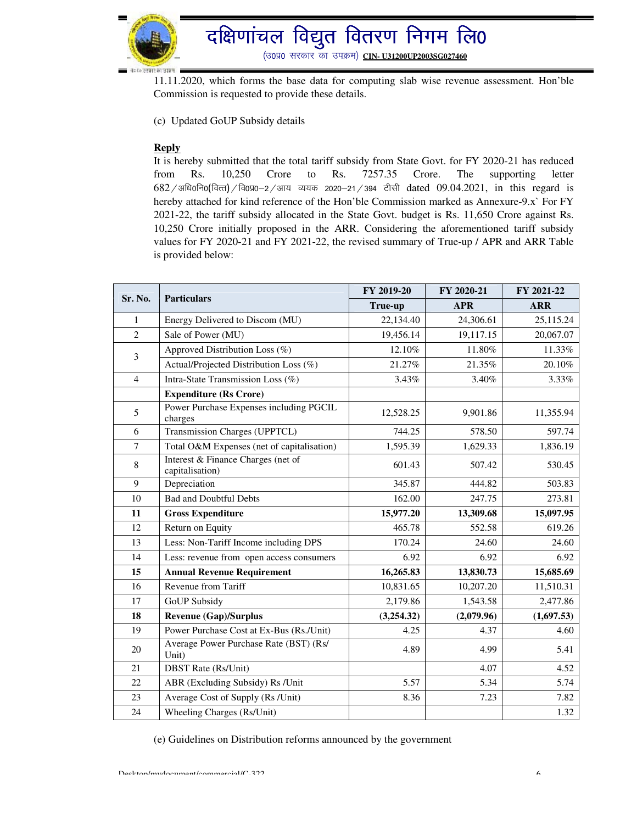

# दक्षिणांचल विद्युत वितरण निगम लि0

(उ०प्र0 सरकार का उपक्रम) CIN- U31200UP2003SG027460

11.11.2020, which forms the base data for computing slab wise revenue assessment. Hon'ble Commission is requested to provide these details.

(c) Updated GoUP Subsidy details

#### **Reply**

It is hereby submitted that the total tariff subsidy from State Govt. for FY 2020-21 has reduced from Rs. 10,250 Crore to Rs. 7257.35 Crore. The supporting letter  $682$ /अधि0नि0(वित्त)/वि0प्र0-2/आय व्ययक 2020-21/394 टीसी dated 09.04.2021, in this regard is hereby attached for kind reference of the Hon'ble Commission marked as Annexure-9.x` For FY 2021-22, the tariff subsidy allocated in the State Govt. budget is Rs. 11,650 Crore against Rs. 10,250 Crore initially proposed in the ARR. Considering the aforementioned tariff subsidy values for FY 2020-21 and FY 2021-22, the revised summary of True-up / APR and ARR Table is provided below:

|                               | FY 2019-20                                            | FY 2020-21 | FY 2021-22 |            |
|-------------------------------|-------------------------------------------------------|------------|------------|------------|
| Sr. No.<br><b>Particulars</b> |                                                       | True-up    | <b>APR</b> | <b>ARR</b> |
| 1                             | Energy Delivered to Discom (MU)                       | 22,134.40  | 24,306.61  | 25,115.24  |
| $\overline{2}$                | Sale of Power (MU)                                    | 19,456.14  | 19,117.15  | 20,067.07  |
| 3                             | Approved Distribution Loss (%)                        | 12.10%     | 11.80%     | 11.33%     |
|                               | Actual/Projected Distribution Loss (%)                | 21.27%     | 21.35%     | 20.10%     |
| $\overline{4}$                | Intra-State Transmission Loss (%)                     | 3.43%      | 3.40%      | 3.33%      |
|                               | <b>Expenditure (Rs Crore)</b>                         |            |            |            |
| 5                             | Power Purchase Expenses including PGCIL<br>charges    | 12,528.25  | 9,901.86   | 11,355.94  |
| 6                             | Transmission Charges (UPPTCL)                         | 744.25     | 578.50     | 597.74     |
| $\overline{7}$                | Total O&M Expenses (net of capitalisation)            | 1,595.39   | 1,629.33   | 1,836.19   |
| $\,8\,$                       | Interest & Finance Charges (net of<br>capitalisation) | 601.43     | 507.42     | 530.45     |
| 9                             | Depreciation                                          | 345.87     | 444.82     | 503.83     |
| 10                            | <b>Bad and Doubtful Debts</b>                         | 162.00     | 247.75     | 273.81     |
| 11                            | <b>Gross Expenditure</b>                              | 15,977.20  | 13,309.68  | 15,097.95  |
| 12                            | Return on Equity                                      | 465.78     | 552.58     | 619.26     |
| 13                            | Less: Non-Tariff Income including DPS                 | 170.24     | 24.60      | 24.60      |
| 14                            | Less: revenue from open access consumers              | 6.92       | 6.92       | 6.92       |
| 15                            | <b>Annual Revenue Requirement</b>                     | 16,265.83  | 13,830.73  | 15,685.69  |
| 16                            | Revenue from Tariff                                   | 10,831.65  | 10,207.20  | 11,510.31  |
| 17                            | <b>GoUP</b> Subsidy                                   | 2,179.86   | 1,543.58   | 2,477.86   |
| 18                            | <b>Revenue (Gap)/Surplus</b>                          | (3,254.32) | (2,079.96) | (1,697.53) |
| 19                            | Power Purchase Cost at Ex-Bus (Rs./Unit)              | 4.25       | 4.37       | 4.60       |
| 20                            | Average Power Purchase Rate (BST) (Rs/<br>Unit)       | 4.89       | 4.99       | 5.41       |
| 21                            | <b>DBST</b> Rate (Rs/Unit)                            |            | 4.07       | 4.52       |
| 22                            | ABR (Excluding Subsidy) Rs /Unit                      | 5.57       | 5.34       | 5.74       |
| 23                            | Average Cost of Supply (Rs /Unit)                     | 8.36       | 7.23       | 7.82       |
| 24                            | Wheeling Charges (Rs/Unit)                            |            |            | 1.32       |

(e) Guidelines on Distribution reforms announced by the government